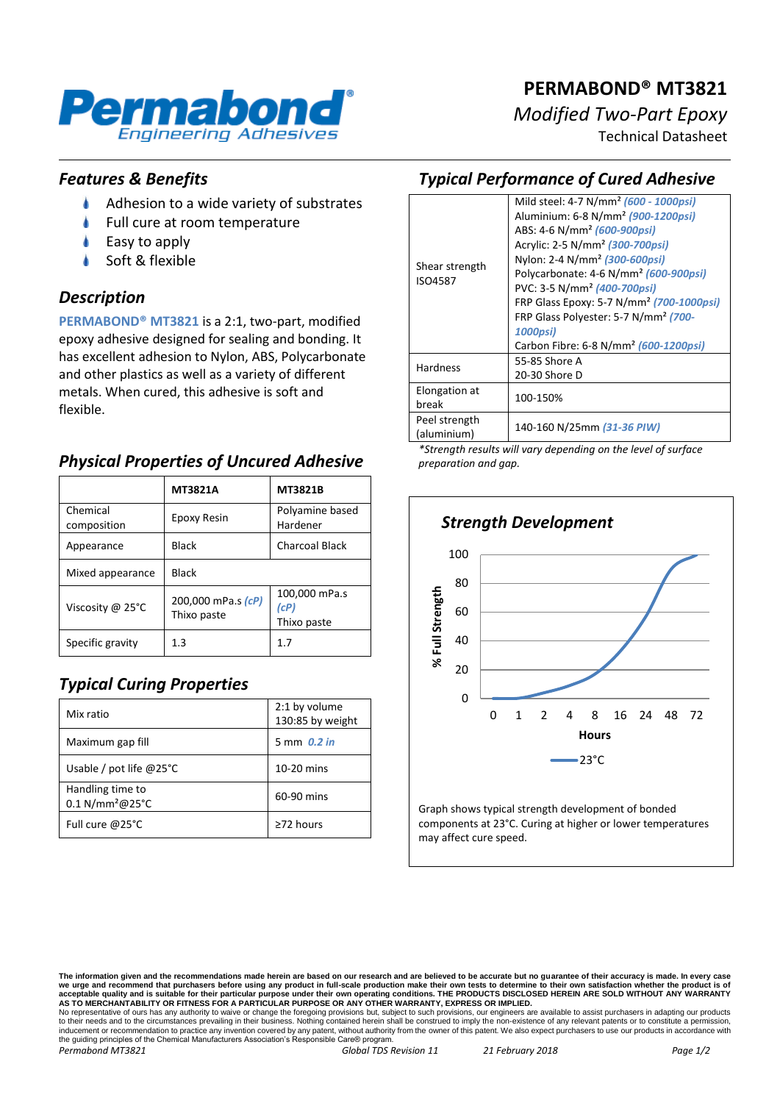

*Modified Two-Part Epoxy*

Technical Datasheet

#### *Features & Benefits*

 $\bullet$ Adhesion to a wide variety of substrates

Engineering Adhesives

Full cure at room temperature

Permabond

- Easy to apply
- Soft & flexible

#### *Description*

**PERMABOND® MT3821** is a 2:1, two-part, modified epoxy adhesive designed for sealing and bonding. It has excellent adhesion to Nylon, ABS, Polycarbonate and other plastics as well as a variety of different metals. When cured, this adhesive is soft and flexible.

## *Physical Properties of Uncured Adhesive*

|                         | <b>MT3821A</b>                    | <b>MT3821B</b>                       |
|-------------------------|-----------------------------------|--------------------------------------|
| Chemical<br>composition | Epoxy Resin                       | Polyamine based<br>Hardener          |
| Appearance              | <b>Black</b>                      | Charcoal Black                       |
| Mixed appearance        | <b>Black</b>                      |                                      |
| Viscosity @ 25°C        | 200,000 mPa.s (cP)<br>Thixo paste | 100,000 mPa.s<br>(cP)<br>Thixo paste |
| Specific gravity        | 1.3                               | 1.7                                  |

# *Typical Curing Properties*

| Mix ratio                                       | 2:1 by volume<br>130:85 by weight |
|-------------------------------------------------|-----------------------------------|
| Maximum gap fill                                | 5 mm 0.2 in                       |
| Usable / pot life $@25°C$                       | $10-20$ mins                      |
| Handling time to<br>0.1 N/mm <sup>2</sup> @25°C | 60-90 mins                        |
| Full cure @25°C                                 | $\geq$ 72 hours                   |

## *Typical Performance of Cured Adhesive*

| Shear strength<br>ISO4587 | Mild steel: 4-7 N/mm <sup>2</sup> (600 - 1000psi)    |  |
|---------------------------|------------------------------------------------------|--|
|                           | Aluminium: 6-8 N/mm <sup>2</sup> (900-1200psi)       |  |
|                           | ABS: 4-6 N/mm <sup>2</sup> (600-900psi)              |  |
|                           | Acrylic: 2-5 N/mm <sup>2</sup> (300-700psi)          |  |
|                           | Nylon: 2-4 N/mm <sup>2</sup> (300-600psi)            |  |
|                           | Polycarbonate: 4-6 N/mm <sup>2</sup> (600-900psi)    |  |
|                           | PVC: 3-5 N/mm <sup>2</sup> (400-700psi)              |  |
|                           | FRP Glass Epoxy: 5-7 N/mm <sup>2</sup> (700-1000psi) |  |
|                           | FRP Glass Polyester: 5-7 N/mm <sup>2</sup> (700-     |  |
|                           | 1000psi)                                             |  |
|                           | Carbon Fibre: 6-8 N/mm <sup>2</sup> (600-1200psi)    |  |
| <b>Hardness</b>           | 55-85 Shore A                                        |  |
|                           | 20-30 Shore D                                        |  |
| Elongation at             | 100-150%                                             |  |
| break                     |                                                      |  |
| Peel strength             | 140-160 N/25mm (31-36 PIW)                           |  |
| (aluminium)               |                                                      |  |

*\*Strength results will vary depending on the level of surface preparation and gap.*



Graph shows typical strength development of bonded components at 23°C. Curing at higher or lower temperatures may affect cure speed.

The information given and the recommendations made herein are based on our research and are believed to be accurate but no guarantee of their accuracy is made. In every case<br>we urge and recommend that purchasers before usi

No representative of ours has any authority to waive or change the foregoing provisions but, subject to such provisions, our engineers are available to assist purchasers in adapting our products<br>to their needs and to the c the guiding principles of the Chemical Manufacturers Association's Responsible Care® program. *Permabond MT3821 Global TDS Revision 11 21 February 2018 Page 1/2*